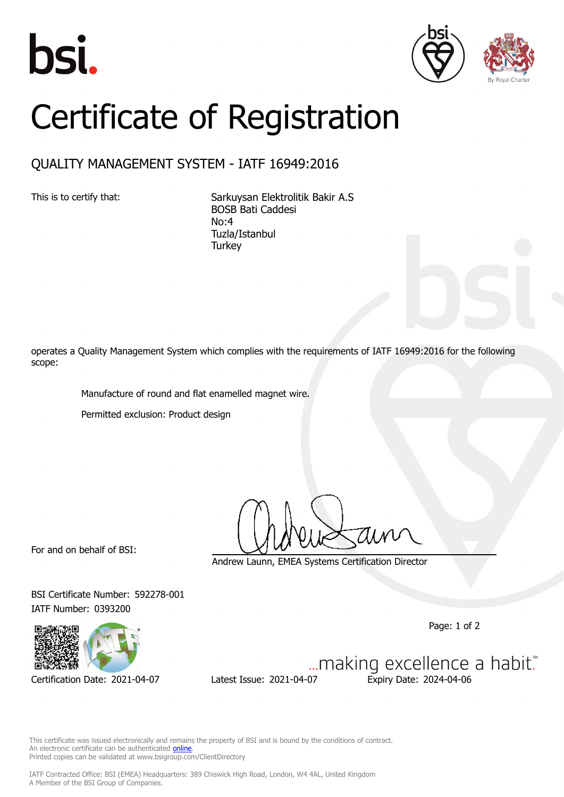





## Certificate of Registration

## QUALITY MANAGEMENT SYSTEM - IATF 16949:2016

This is to certify that: Sarkuysan Elektrolitik Bakir A.S BOSB Bati Caddesi No:4 Tuzla/Istanbul **Turkey** 

operates a Quality Management System which complies with the requirements of IATF 16949:2016 for the following scope:

Manufacture of round and flat enamelled magnet wire.

Permitted exclusion: Product design

For and on behalf of BSI:

Andrew Launn, EMEA Systems Certification Director

BSI Certificate Number: 592278-001 IATF Number: 0393200

Page: 1 of 2



Certification Date: 2021-04-07 Latest Issue: 2021-04-07 Expiry Date: 2024-04-06

... making excellence a habit."

This certificate was issued electronically and remains the property of BSI and is bound by the conditions of contract. An electronic certificate can be authenticated **[online](https://pgplus.bsigroup.com/CertificateValidation/CertificateValidator.aspx?CertificateNumber=TS+592278-001&ReIssueDate=07%2f04%2f2021&Template=cemea_en)** Printed copies can be validated at www.bsigroup.com/ClientDirectory

IATF Contracted Office: BSI (EMEA) Headquarters: 389 Chiswick High Road, London, W4 4AL, United Kingdom A Member of the BSI Group of Companies.